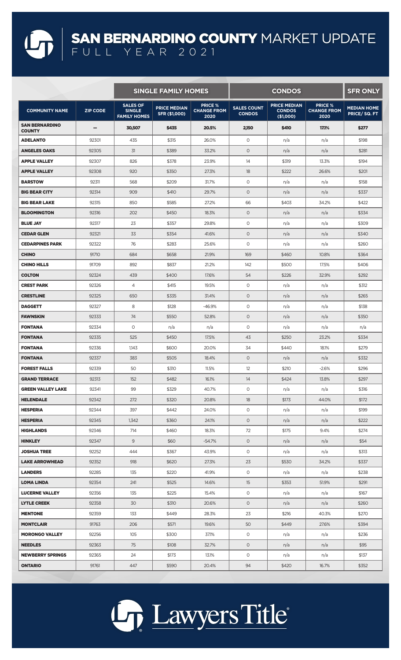## SAN BERNARDINO COUNTY MARKET UPDATE

FULL YEAR 2021

|                                        |                 | <b>SINGLE FAMILY HOMES</b>                              |                                      |                                              | <b>CONDOS</b>                       |                                                   |                                              | <b>SFR ONLY</b>                    |
|----------------------------------------|-----------------|---------------------------------------------------------|--------------------------------------|----------------------------------------------|-------------------------------------|---------------------------------------------------|----------------------------------------------|------------------------------------|
| <b>COMMUNITY NAME</b>                  | <b>ZIP CODE</b> | <b>SALES OF</b><br><b>SINGLE</b><br><b>FAMILY HOMES</b> | <b>PRICE MEDIAN</b><br>SFR (\$1,000) | <b>PRICE %</b><br><b>CHANGE FROM</b><br>2020 | <b>SALES COUNT</b><br><b>CONDOS</b> | <b>PRICE MEDIAN</b><br><b>CONDOS</b><br>(\$1.000) | <b>PRICE %</b><br><b>CHANGE FROM</b><br>2020 | <b>MEDIAN HOME</b><br>PRICE/SQ. FT |
| <b>SAN BERNARDINO</b><br><b>COUNTY</b> |                 | 30,507                                                  | \$435                                | 20.5%                                        | 2,150                               | \$410                                             | 17.1%                                        | \$277                              |
| <b>ADELANTO</b>                        | 92301           | 435                                                     | \$315                                | 26.0%                                        | 0                                   | n/a                                               | n/a                                          | \$198                              |
| <b>ANGELES OAKS</b>                    | 92305           | 31                                                      | \$389                                | 33.2%                                        | $\circ$                             | n/a                                               | n/a                                          | \$281                              |
| <b>APPLE VALLEY</b>                    | 92307           | 826                                                     | \$378                                | 23.9%                                        | 14                                  | \$319                                             | 13.3%                                        | \$194                              |
| <b>APPLE VALLEY</b>                    | 92308           | 920                                                     | \$350                                | 27.3%                                        | 18                                  | \$222                                             | 26.6%                                        | \$201                              |
| <b>BARSTOW</b>                         | 92311           | 568                                                     | \$209                                | 31.7%                                        | $\circ$                             | n/a                                               | n/a                                          | \$158                              |
| <b>BIG BEAR CITY</b>                   | 92314           | 909                                                     | \$410                                | 29.7%                                        | $\circ$                             | n/a                                               | n/a                                          | \$337                              |
| <b>BIG BEAR LAKE</b>                   | 92315           | 850                                                     | \$585                                | 27.2%                                        | 66                                  | \$403                                             | 34.2%                                        | \$422                              |
| <b>BLOOMINGTON</b>                     | 92316           | 202                                                     | \$450                                | 18.3%                                        | $\circ$                             | n/a                                               | n/a                                          | \$334                              |
| <b>BLUE JAY</b>                        | 92317           | 23                                                      | \$357                                | 29.8%                                        | $\circ$                             | n/a                                               | n/a                                          | \$309                              |
| <b>CEDAR GLEN</b>                      | 92321           | 33                                                      | \$354                                | 41.6%                                        | $\circ$                             | n/a                                               | n/a                                          | \$340                              |
| <b>CEDARPINES PARK</b>                 | 92322           | 76                                                      | \$283                                | 25.6%                                        | $\circ$                             | n/a                                               | n/a                                          | \$260                              |
| <b>CHINO</b>                           | 91710           | 684                                                     | \$658                                | 21.9%                                        | 169                                 | \$460                                             | 10.8%                                        | \$364                              |
| <b>CHINO HILLS</b>                     | 91709           | 892                                                     | \$837                                | 21.2%                                        | 142                                 | \$500                                             | 17.5%                                        | \$406                              |
| <b>COLTON</b>                          | 92324           | 439                                                     | \$400                                | 17.6%                                        | 54                                  | \$226                                             | 32.9%                                        | \$292                              |
| <b>CREST PARK</b>                      | 92326           | $\overline{4}$                                          | \$415                                | 19.5%                                        | 0                                   | n/a                                               | n/a                                          | \$312                              |
| <b>CRESTLINE</b>                       | 92325           | 650                                                     | \$335                                | 31.4%                                        | $\circ$                             | n/a                                               | n/a                                          | \$265                              |
| <b>DAGGETT</b>                         | 92327           | 8                                                       | \$128                                | $-46.9%$                                     | $\circ$                             | n/a                                               | n/a                                          | \$138                              |
| <b>FAWNSKIN</b>                        | 92333           | 74                                                      | \$550                                | 52.8%                                        | $\circ$                             | n/a                                               | n/a                                          | \$350                              |
| <b>FONTANA</b>                         | 92334           | $\circ$                                                 | n/a                                  | n/a                                          | $\circ$                             | n/a                                               | n/a                                          | n/a                                |
| <b>FONTANA</b>                         | 92335           | 525                                                     | \$450                                | 17.5%                                        | 43                                  | \$250                                             | 23.2%                                        | \$334                              |
| <b>FONTANA</b>                         | 92336           | 1.143                                                   | \$600                                | 20.0%                                        | 34                                  | \$440                                             | 18.1%                                        | \$279                              |
| <b>FONTANA</b>                         | 92337           | 383                                                     | \$505                                | 18.4%                                        | $\circ$                             | n/a                                               | n/a                                          | \$332                              |
| <b>FOREST FALLS</b>                    | 92339           | 50                                                      | \$310                                | 11.5%                                        | 12                                  | \$210                                             | $-2.6%$                                      | \$296                              |
| <b>GRAND TERRACE</b>                   | 92313           | 152                                                     | \$482                                | 16.1%                                        | 14                                  | \$424                                             | 13.8%                                        | \$297                              |
| <b>GREEN VALLEY LAKE</b>               | 92341           | 99                                                      | \$329                                | 40.7%                                        | $\circ$                             | n/a                                               | n/a                                          | \$316                              |
| <b>HELENDALE</b>                       | 92342           | 272                                                     | \$320                                | 20.8%                                        | 18                                  | \$173                                             | 44.0%                                        | \$172                              |
| <b>HESPERIA</b>                        | 92344           | 397                                                     | \$442                                | 24.0%                                        | 0                                   | n/a                                               | n/a                                          | \$199                              |
| <b>HESPERIA</b>                        | 92345           | 1,342                                                   | \$360                                | 24.1%                                        | $\circ$                             | n/a                                               | n/a                                          | \$222                              |
| <b>HIGHLANDS</b>                       | 92346           | 714                                                     | \$460                                | 18.3%                                        | 72                                  | \$175                                             | 9.4%                                         | \$274                              |
| <b>HINKLEY</b>                         | 92347           | 9                                                       | \$60                                 | $-54.7%$                                     | $\circ$                             | n/a                                               | n/a                                          | \$54                               |
| <b>JOSHUA TREE</b>                     | 92252           | 444                                                     | \$367                                | 43.9%                                        | 0                                   | n/a                                               | n/a                                          | \$313                              |
| LAKE ARROWHEAD                         | 92352           | 918                                                     | \$620                                | 27.3%                                        | 23                                  | \$530                                             | 34.2%                                        | \$337                              |
| <b>LANDERS</b>                         | 92285           | 135                                                     | \$220                                | 41.9%                                        | 0                                   | n/a                                               | n/a                                          | \$238                              |
| <b>LOMA LINDA</b>                      | 92354           | 241                                                     | \$525                                | 14.6%                                        | 15                                  | \$353                                             | 51.9%                                        | \$291                              |
| <b>LUCERNE VALLEY</b>                  | 92356           | 135                                                     | \$225                                | 15.4%                                        | $\circ$                             | n/a                                               | n/a                                          | \$167                              |
| <b>LYTLE CREEK</b>                     | 92358           | 30                                                      | \$310                                | 20.6%                                        | $\circ$                             | n/a                                               | n/a                                          | \$260                              |
| <b>MENTONE</b>                         | 92359           | 133                                                     | \$449                                | 28.3%                                        | 23                                  | \$216                                             | 40.3%                                        | \$270                              |
| <b>MONTCLAIR</b>                       | 91763           | 206                                                     | \$571                                | 19.6%                                        | 50                                  | \$449                                             | 27.6%                                        | \$394                              |
| <b>MORONGO VALLEY</b>                  | 92256           | 105                                                     | \$300                                | 37.1%                                        | $\circ$                             | n/a                                               | n/a                                          | \$236                              |
| <b>NEEDLES</b>                         | 92363           | 75                                                      | \$108                                | 32.7%                                        | $\circ$                             | n/a                                               | n/a                                          | \$95                               |
| <b>NEWBERRY SPRINGS</b>                | 92365           | 24                                                      | \$173                                | 13.1%                                        | $\circ$                             | n/a                                               | n/a                                          | \$137                              |
| <b>ONTARIO</b>                         | 91761           | 447                                                     | \$590                                | 20.4%                                        | 94                                  | \$420                                             | 16.7%                                        | \$352                              |